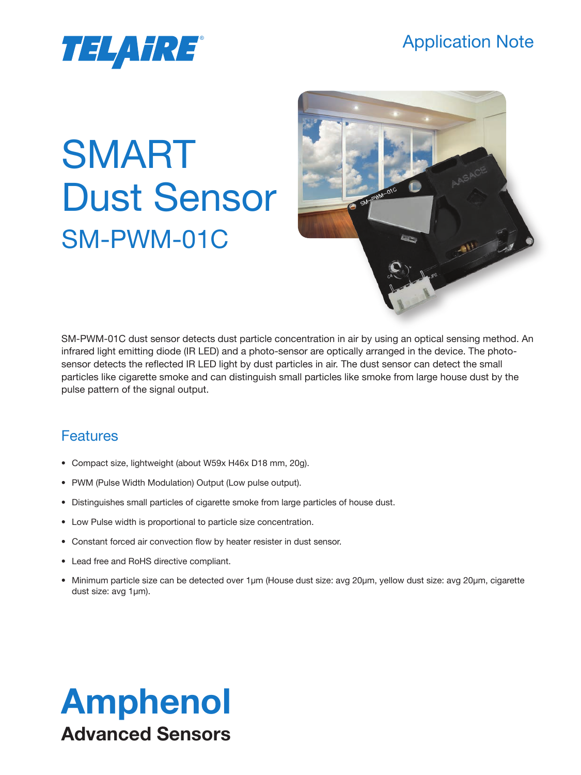### Application Note

# *TELAHRE*®

# SMART Dust Sensor SM-PWM-01C



SM-PWM-01C dust sensor detects dust particle concentration in air by using an optical sensing method. An infrared light emitting diode (IR LED) and a photo-sensor are optically arranged in the device. The photosensor detects the reflected IR LED light by dust particles in air. The dust sensor can detect the small particles like cigarette smoke and can distinguish small particles like smoke from large house dust by the pulse pattern of the signal output.

### **Features**

- Compact size, lightweight (about W59x H46x D18 mm, 20g).
- PWM (Pulse Width Modulation) Output (Low pulse output).
- Distinguishes small particles of cigarette smoke from large particles of house dust.
- Low Pulse width is proportional to particle size concentration.
- Constant forced air convection flow by heater resister in dust sensor.
- Lead free and RoHS directive compliant.
- Minimum particle size can be detected over 1µm (House dust size: avg 20µm, yellow dust size: avg 20µm, cigarette dust size: avg 1µm).

## Amphenol Advanced Sensors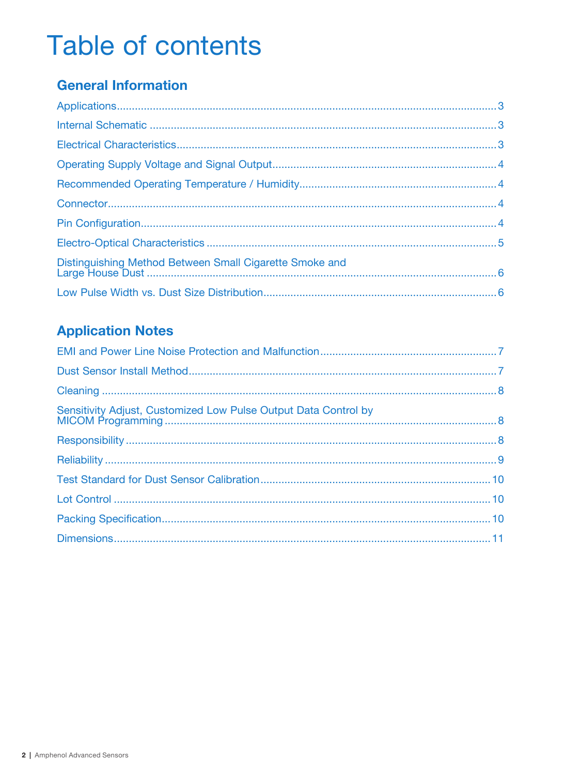## **Table of contents**

### **General Information**

| Distinguishing Method Between Small Cigarette Smoke and |  |
|---------------------------------------------------------|--|
|                                                         |  |

### **Application Notes**

| Sensitivity Adjust, Customized Low Pulse Output Data Control by |  |
|-----------------------------------------------------------------|--|
|                                                                 |  |
|                                                                 |  |
|                                                                 |  |
|                                                                 |  |
|                                                                 |  |
|                                                                 |  |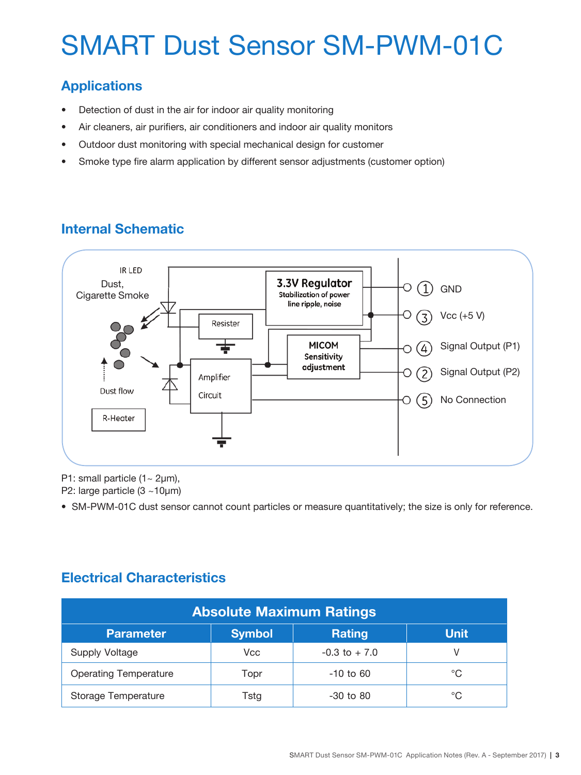### **Applications**

- Detection of dust in the air for indoor air quality monitoring
- Air cleaners, air purifiers, air conditioners and indoor air quality monitors
- Outdoor dust monitoring with special mechanical design for customer
- Smoke type fire alarm application by different sensor adjustments (customer option)

### **Internal Schematic**



P1: small particle  $(1 - 2\mu m)$ ,

P2: large particle (3 ~10µm)

• SM-PWM-01C dust sensor cannot count particles or measure quantitatively; the size is only for reference.

#### **Electrical Characteristics**

| <b>Absolute Maximum Ratings</b>                                   |      |                  |    |  |  |  |  |  |  |
|-------------------------------------------------------------------|------|------------------|----|--|--|--|--|--|--|
| <b>Symbol</b><br><b>Rating</b><br><b>Unit</b><br><b>Parameter</b> |      |                  |    |  |  |  |  |  |  |
| Supply Voltage                                                    | Vcc  | $-0.3$ to $+7.0$ | V  |  |  |  |  |  |  |
| <b>Operating Temperature</b>                                      | Topr | $-10$ to 60      | °C |  |  |  |  |  |  |
| <b>Storage Temperature</b>                                        | Tstg | $-30$ to $80$    | °C |  |  |  |  |  |  |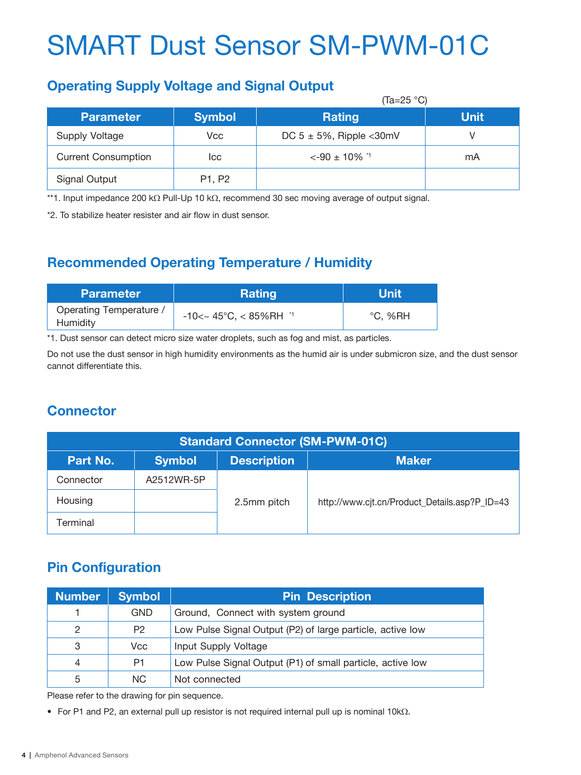#### **Operating Supply Voltage and Signal Output**

|                            | (Ta=25 °C)    |                               |             |  |  |  |  |  |
|----------------------------|---------------|-------------------------------|-------------|--|--|--|--|--|
| <b>Parameter</b>           | <b>Symbol</b> | <b>Rating</b>                 | <b>Unit</b> |  |  |  |  |  |
| Supply Voltage             | Vcc           | DC $5 \pm 5\%$ , Ripple <30mV |             |  |  |  |  |  |
| <b>Current Consumption</b> | Icc           | $\leq -90 \pm 10\%$ *1        | mA          |  |  |  |  |  |
| Signal Output              | P1, P2        |                               |             |  |  |  |  |  |

\*\*1. Input impedance 200 kΩ Pull-Up 10 kΩ, recommend 30 sec moving average of output signal.

\*2. To stabilize heater resister and air flow in dust sensor.

### **Recommended Operating Temperature / Humidity**

| <b>Parameter</b>                           | <b>Rating</b>                                            | Unit    |
|--------------------------------------------|----------------------------------------------------------|---------|
| <b>Operating Temperature /</b><br>Humidity | $-10 < \sim 45^{\circ}$ C, $< 85\%$ RH $^{\prime\prime}$ | °C. %RH |

\*1. Dust sensor can detect micro size water droplets, such as fog and mist, as particles.

Do not use the dust sensor in high humidity environments as the humid air is under submicron size, and the dust sensor cannot differentiate this.

#### **Connector**

| <b>Standard Connector (SM-PWM-01C)</b>                          |            |             |                                               |  |  |  |  |  |  |
|-----------------------------------------------------------------|------------|-------------|-----------------------------------------------|--|--|--|--|--|--|
| <b>Description</b><br><b>Symbol</b><br><b>Maker</b><br>Part No. |            |             |                                               |  |  |  |  |  |  |
| Connector                                                       | A2512WR-5P |             |                                               |  |  |  |  |  |  |
| Housing                                                         |            | 2.5mm pitch | http://www.cjt.cn/Product_Details.asp?P_ID=43 |  |  |  |  |  |  |
| Геrminal                                                        |            |             |                                               |  |  |  |  |  |  |

### **Pin Configuration**

| <b>Number</b> | <b>Symbol</b>  | <b>Pin Description</b>                                     |
|---------------|----------------|------------------------------------------------------------|
|               | <b>GND</b>     | Ground, Connect with system ground                         |
| $\mathcal{P}$ | P <sub>2</sub> | Low Pulse Signal Output (P2) of large particle, active low |
| 3             | Vcc            | Input Supply Voltage                                       |
| 4             | P1             | Low Pulse Signal Output (P1) of small particle, active low |
| 5             | NC.            | Not connected                                              |

Please refer to the drawing for pin sequence.

• For P1 and P2, an external pull up resistor is not required internal pull up is nominal 10kΩ.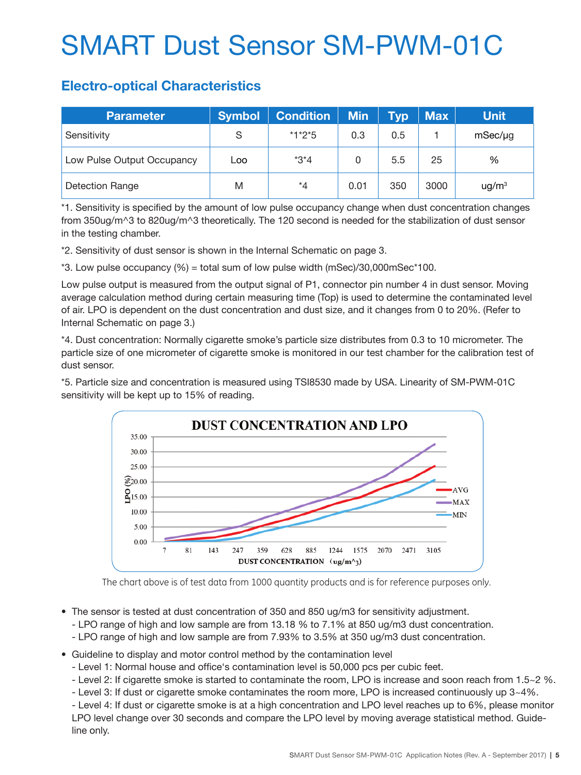#### **Electro-optical Characteristics**

| Parameter                  | <b>Symbol</b> | <b>Condition</b> | <b>Min</b> | <b>Typ</b> | <b>Max</b> | <b>Unit</b>       |
|----------------------------|---------------|------------------|------------|------------|------------|-------------------|
| Sensitivity                | S             | $*1*2*5$         | 0.3        | 0.5        |            | $mSec/\mu g$      |
| Low Pulse Output Occupancy | Loo           | $*3*4$           |            | 5.5        | 25         | %                 |
| Detection Range            | M             | $*_{4}$          | 0.01       | 350        | 3000       | ug/m <sup>3</sup> |

\*1. Sensitivity is specified by the amount of low pulse occupancy change when dust concentration changes from 350ug/m^3 to 820ug/m^3 theoretically. The 120 second is needed for the stabilization of dust sensor in the testing chamber.

\*2. Sensitivity of dust sensor is shown in the Internal Schematic on page 3.

\*3. Low pulse occupancy (%) = total sum of low pulse width (mSec)/30,000mSec\*100.

Low pulse output is measured from the output signal of P1, connector pin number 4 in dust sensor. Moving average calculation method during certain measuring time (Top) is used to determine the contaminated level of air. LPO is dependent on the dust concentration and dust size, and it changes from 0 to 20%. (Refer to Internal Schematic on page 3.)

\*4. Dust concentration: Normally cigarette smoke's particle size distributes from 0.3 to 10 micrometer. The particle size of one micrometer of cigarette smoke is monitored in our test chamber for the calibration test of dust sensor.

\*5. Particle size and concentration is measured using TSI8530 made by USA. Linearity of SM-PWM-01C sensitivity will be kept up to 15% of reading.



The chart above is of test data from 1000 quantity products and is for reference purposes only.

- The sensor is tested at dust concentration of 350 and 850 ug/m3 for sensitivity adjustment.
	- LPO range of high and low sample are from 13.18 % to 7.1% at 850 ug/m3 dust concentration.
	- LPO range of high and low sample are from 7.93% to 3.5% at 350 ug/m3 dust concentration.
- Guideline to display and motor control method by the contamination level
	- Level 1: Normal house and office's contamination level is 50,000 pcs per cubic feet.
	- Level 2: If cigarette smoke is started to contaminate the room, LPO is increase and soon reach from 1.5~2 %.
	- Level 3: If dust or cigarette smoke contaminates the room more, LPO is increased continuously up 3~4%.

- Level 4: If dust or cigarette smoke is at a high concentration and LPO level reaches up to 6%, please monitor LPO level change over 30 seconds and compare the LPO level by moving average statistical method. Guideline only.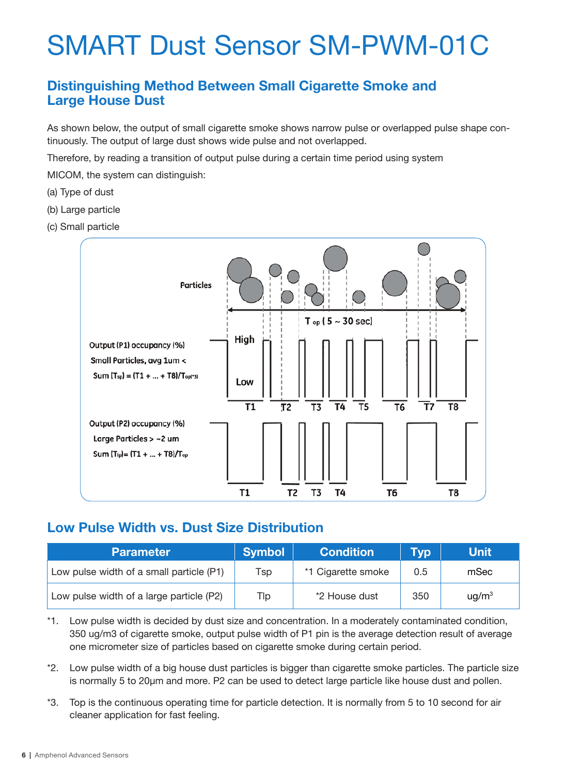#### **Distinguishing Method Between Small Cigarette Smoke and Large House Dust**

As shown below, the output of small cigarette smoke shows narrow pulse or overlapped pulse shape continuously. The output of large dust shows wide pulse and not overlapped.

Therefore, by reading a transition of output pulse during a certain time period using system

MICOM, the system can distinguish:

- (a) Type of dust
- (b) Large particle
- (c) Small particle



#### **Low Pulse Width vs. Dust Size Distribution**

| <b>Parameter</b>                         | <b>Symbol</b> | <b>Condition</b>   | Typ | <b>Unit</b>        |
|------------------------------------------|---------------|--------------------|-----|--------------------|
| Low pulse width of a small particle (P1) | Tsp           | *1 Cigarette smoke | 0.5 | mSec               |
| Low pulse width of a large particle (P2) | Tlp           | *2 House dust      | 350 | u g/m <sup>3</sup> |

\*1. Low pulse width is decided by dust size and concentration. In a moderately contaminated condition, 350 ug/m3 of cigarette smoke, output pulse width of P1 pin is the average detection result of average one micrometer size of particles based on cigarette smoke during certain period.

\*2. Low pulse width of a big house dust particles is bigger than cigarette smoke particles. The particle size is normally 5 to 20µm and more. P2 can be used to detect large particle like house dust and pollen.

\*3. Top is the continuous operating time for particle detection. It is normally from 5 to 10 second for air cleaner application for fast feeling.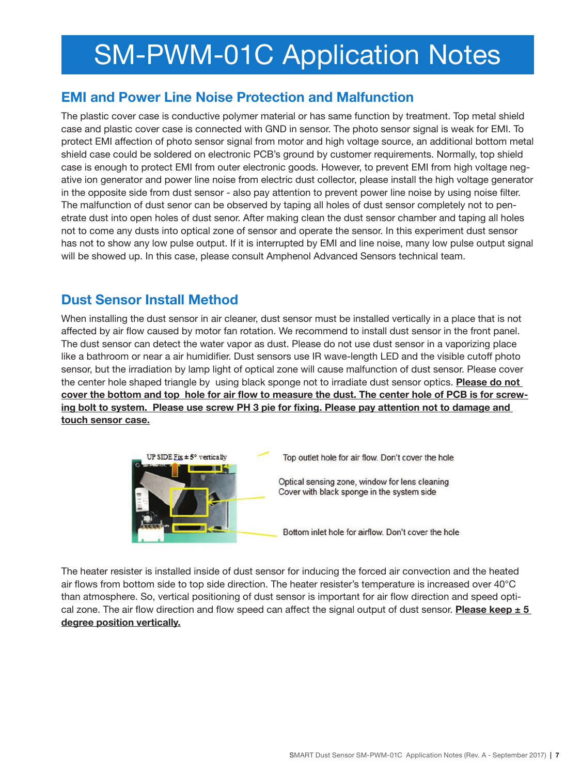#### **EMI and Power Line Noise Protection and Malfunction**

The plastic cover case is conductive polymer material or has same function by treatment. Top metal shield case and plastic cover case is connected with GND in sensor. The photo sensor signal is weak for EMI. To protect EMI affection of photo sensor signal from motor and high voltage source, an additional bottom metal shield case could be soldered on electronic PCB's ground by customer requirements. Normally, top shield case is enough to protect EMI from outer electronic goods. However, to prevent EMI from high voltage negative ion generator and power line noise from electric dust collector, please install the high voltage generator in the opposite side from dust sensor - also pay attention to prevent power line noise by using noise filter. The malfunction of dust senor can be observed by taping all holes of dust sensor completely not to penetrate dust into open holes of dust senor. After making clean the dust sensor chamber and taping all holes not to come any dusts into optical zone of sensor and operate the sensor. In this experiment dust sensor has not to show any low pulse output. If it is interrupted by EMI and line noise, many low pulse output signal will be showed up. In this case, please consult Amphenol Advanced Sensors technical team.

#### **Dust Sensor Install Method**

When installing the dust sensor in air cleaner, dust sensor must be installed vertically in a place that is not affected by air flow caused by motor fan rotation. We recommend to install dust sensor in the front panel. The dust sensor can detect the water vapor as dust. Please do not use dust sensor in a vaporizing place like a bathroom or near a air humidifier. Dust sensors use IR wave-length LED and the visible cutoff photo sensor, but the irradiation by lamp light of optical zone will cause malfunction of dust sensor. Please cover the center hole shaped triangle by using black sponge not to irradiate dust sensor optics. **Please do not cover the bottom and top hole for air flow to measure the dust. The center hole of PCB is for screwing bolt to system. Please use screw PH 3 pie for fixing. Please pay attention not to damage and touch sensor case.**



Top outlet hole for air flow. Don't cover the hole

Optical sensing zone, window for lens cleaning Cover with black sponge in the system side

Bottom inlet hole for airflow. Don't cover the hole

The heater resister is installed inside of dust sensor for inducing the forced air convection and the heated air flows from bottom side to top side direction. The heater resister's temperature is increased over 40°C than atmosphere. So, vertical positioning of dust sensor is important for air flow direction and speed optical zone. The air flow direction and flow speed can affect the signal output of dust sensor. **Please keep ± 5 degree position vertically.**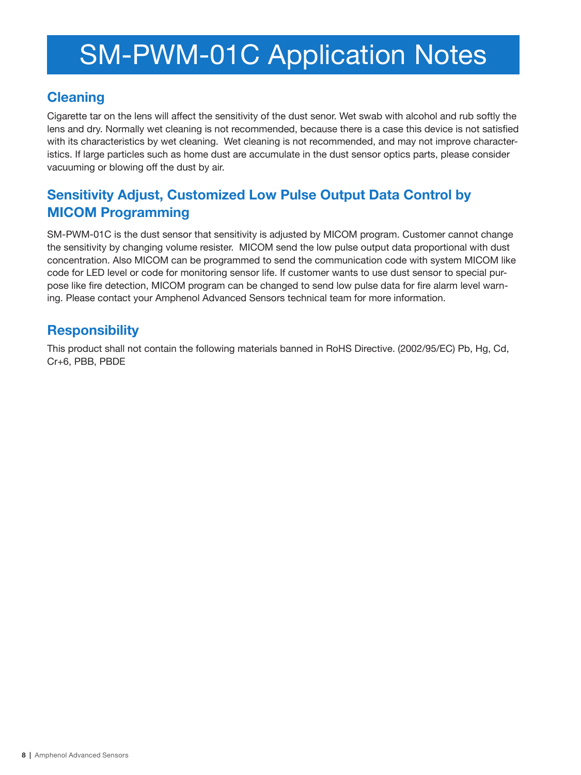#### **Cleaning**

Cigarette tar on the lens will affect the sensitivity of the dust senor. Wet swab with alcohol and rub softly the lens and dry. Normally wet cleaning is not recommended, because there is a case this device is not satisfied with its characteristics by wet cleaning. Wet cleaning is not recommended, and may not improve characteristics. If large particles such as home dust are accumulate in the dust sensor optics parts, please consider vacuuming or blowing off the dust by air.

### **Sensitivity Adjust, Customized Low Pulse Output Data Control by MICOM Programming**

SM-PWM-01C is the dust sensor that sensitivity is adjusted by MICOM program. Customer cannot change the sensitivity by changing volume resister. MICOM send the low pulse output data proportional with dust concentration. Also MICOM can be programmed to send the communication code with system MICOM like code for LED level or code for monitoring sensor life. If customer wants to use dust sensor to special purpose like fire detection, MICOM program can be changed to send low pulse data for fire alarm level warning. Please contact your Amphenol Advanced Sensors technical team for more information.

### **Responsibility**

This product shall not contain the following materials banned in RoHS Directive. (2002/95/EC) Pb, Hg, Cd, Cr+6, PBB, PBDE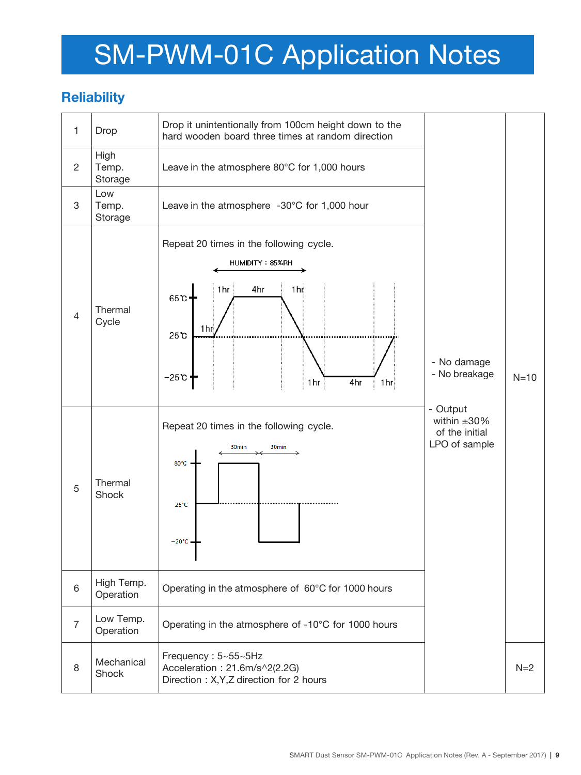### **Reliability**

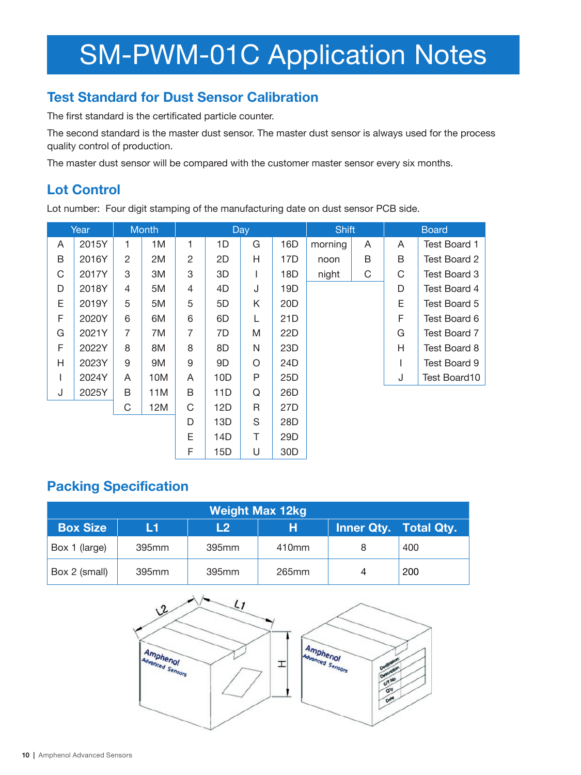### **Test Standard for Dust Sensor Calibration**

The first standard is the certificated particle counter.

The second standard is the master dust sensor. The master dust sensor is always used for the process quality control of production.

The master dust sensor will be compared with the customer master sensor every six months.

### **Lot Control**

Lot number: Four digit stamping of the manufacturing date on dust sensor PCB side.

| Year                     |       |                | <b>Month</b> | Day            |     |              |                 | <b>Shift</b> |   | <b>Board</b> |              |
|--------------------------|-------|----------------|--------------|----------------|-----|--------------|-----------------|--------------|---|--------------|--------------|
| A                        | 2015Y | 1              | 1M           | 1              | 1D  | G            | 16D             | morning      | A | A            | Test Board 1 |
| B                        | 2016Y | $\overline{2}$ | 2M           | $\overline{c}$ | 2D  | H            | 17D             | noon         | B | B            | Test Board 2 |
| C                        | 2017Y | 3              | 3M           | 3              | 3D  |              | 18D             | night        | C | C            | Test Board 3 |
| D                        | 2018Y | 4              | 5M           | 4              | 4D  | J            | 19D             |              |   | D            | Test Board 4 |
| E                        | 2019Y | 5              | 5M           | 5              | 5D  | Κ            | 20 <sub>D</sub> |              |   | E            | Test Board 5 |
| F                        | 2020Y | 6              | 6M           | 6              | 6D  | L            | 21D             |              |   | F            | Test Board 6 |
| G                        | 2021Y | 7              | 7M           | 7              | 7D  | M            | 22D             |              |   | G            | Test Board 7 |
| F                        | 2022Y | 8              | 8M           | 8              | 8D  | $\mathsf{N}$ | 23D             |              |   | H            | Test Board 8 |
| H                        | 2023Y | 9              | 9M           | 9              | 9D  | O            | 24D             |              |   |              | Test Board 9 |
| $\overline{\phantom{a}}$ | 2024Y | A              | 10M          | A              | 10D | P            | 25D             |              |   | J            | Test Board10 |
| J                        | 2025Y | B              | 11M          | B              | 11D | Q            | 26D             |              |   |              |              |
|                          |       | C              | 12M          | C              | 12D | R            | 27D             |              |   |              |              |
|                          |       |                |              | D              | 13D | S            | 28D             |              |   |              |              |
|                          |       |                | E            | 14D            | T   | 29D          |                 |              |   |              |              |
|                          |       |                |              | F              | 15D | U            | 30 <sub>D</sub> |              |   |              |              |

#### **Packing Specification**

| <b>Weight Max 12kg</b>                                                       |       |                   |       |  |     |  |  |  |  |  |
|------------------------------------------------------------------------------|-------|-------------------|-------|--|-----|--|--|--|--|--|
| <b>Box Size</b><br>н<br><b>Inner Qty. Total Qty.</b><br>L <sub>2</sub><br>L1 |       |                   |       |  |     |  |  |  |  |  |
| Box 1 (large)                                                                | 395mm | 395mm             | 410mm |  | 400 |  |  |  |  |  |
| Box 2 (small)                                                                | 395mm | 395 <sub>mm</sub> | 265mm |  | 200 |  |  |  |  |  |

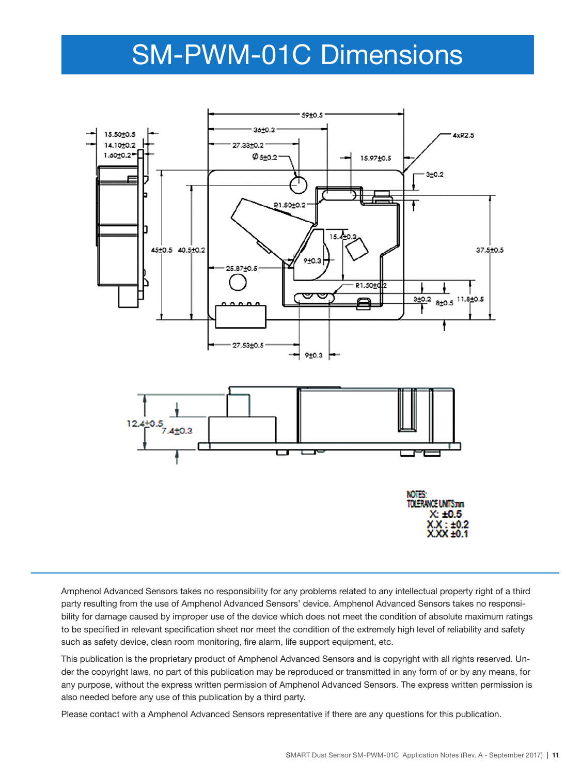## SM-PWM-01C Dimensions



Amphenol Advanced Sensors takes no responsibility for any problems related to any intellectual property right of a third party resulting from the use of Amphenol Advanced Sensors' device. Amphenol Advanced Sensors takes no responsibility for damage caused by improper use of the device which does not meet the condition of absolute maximum ratings to be specified in relevant specification sheet nor meet the condition of the extremely high level of reliability and safety such as safety device, clean room monitoring, fire alarm, life support equipment, etc.

This publication is the proprietary product of Amphenol Advanced Sensors and is copyright with all rights reserved. Under the copyright laws, no part of this publication may be reproduced or transmitted in any form of or by any means, for any purpose, without the express written permission of Amphenol Advanced Sensors. The express written permission is also needed before any use of this publication by a third party.

Please contact with a Amphenol Advanced Sensors representative if there are any questions for this publication.